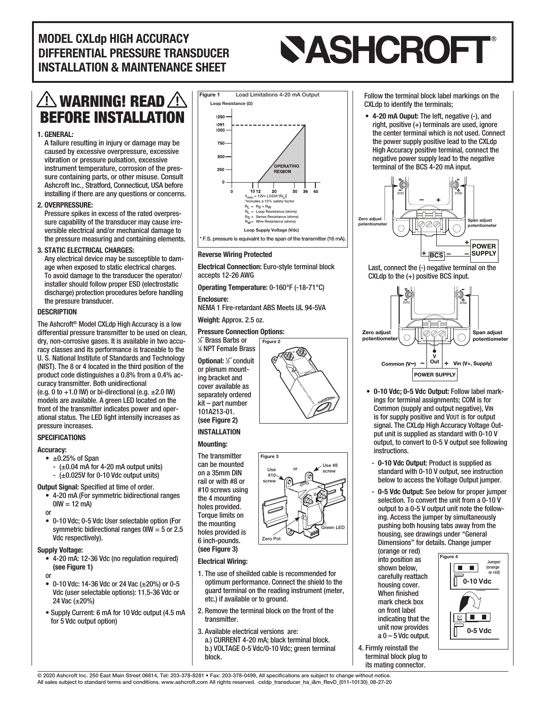## MODEL CXLdp HIGH ACCURACY DIFFERENTIAL PRESSURE TRANSDUCER INSTALLATION & MAINTENANCE SHEET

# **SASHCROFT®**

## $\bigtriangleup$ warning! Read $\bigtriangleup$ BEFORE INSTALLATION

#### 1. GENERAL:

A failure resulting in injury or damage may be caused by excessive overpressure, excessive vibration or pressure pulsation, excessive instrument temperature, corrosion of the pressure containing parts, or other misuse. Consult Ashcroft Inc., Stratford, Connecticut, USA before installing if there are any questions or concerns.

#### 2. OVERPRESSURE:

Pressure spikes in excess of the rated overpressure capability of the transducer may cause irreversible electrical and/or mechanical damage to the pressure measuring and containing elements.

#### 3. STATIC ELECTRICAL CHARGES:

Any electrical device may be susceptible to damage when exposed to static electrical charges. To avoid damage to the transducer the operator/ installer should follow proper ESD (electrostatic discharge) protection procedures before handling the pressure transducer.

#### **DESCRIPTION**

The Ashcroft® Model CXLdp High Accuracy is a low differential pressure transmitter to be used on clean. dry, non-corrosive gases. It is available in two accuracy classes and its performance is traceable to the U. S. National Institute of Standards and Technology (NIST). The 8 or 4 located in the third position of the product code distinguishes a 0.8% from a 0.4% accuracy transmitter. Both unidirectional (e.g. 0 to  $+1.0$  IW) or bi-directional (e.g.  $\pm 2.0$  IW) models are available. A green LED located on the front of the transmitter indicates power and operational status. The LED light intensity increases as pressure increases.

#### **SPECIFICATIONS**

#### Accuracy:

- $\bullet$   $\pm$ 0.25% of Span
	- $-$  ( $\pm$ 0.04 mA for 4-20 mA output units)
	- $-$  ( $\pm$ 0.025V for 0-10 Vdc output units)

#### **Output Signal: Specified at time of order.**

- 4-20 mA (For symmetric bidirectional ranges  $0$ IW = 12 mA) or
- 0-10 Vdc; 0-5 Vdc User selectable option (For symmetric bidirectional ranges 0IW = 5 or 2.5 Vdc respectively).

#### Supply Voltage:

- 4-20 mA: 12-36 Vdc (no regulation required) (see Figure 1) or
- 0-10 Vdc: 14-36 Vdc or 24 Vac (±20%) or 0-5 Vdc (user selectable options): 11.5-36 Vdc or 24 Vac (±20%)
- Supply Current: 6 mA for 10 Vdc output (4.5 mA for 5 Vdc output option)



#### Reverse Wiring Protected

Electrical Connection: Euro-style terminal block accepts 12-26 AWG

Operating Temperature: 0-160°F (-18-71°C)

Enclosure:

NEMA 1 Fire-retardant ABS Meets UL 94-5VA

Figure 2

#### Weight: Approx. 2.5 oz.

#### Pressure Connection Options:

1 ⁄4˝ Brass Barbs or 1 ⁄8 NPT Female Brass Optional: <sup>1</sup> ⁄2˝ conduit or plenum mounting bracket and cover available as separately ordered kit – part number

#### (see Figure 2) INSTALLATION

101A213-01.

#### Mounting:

The transmitter can be mounted on a 35mm DIN rail or with #8 or #10 screws using the 4 mounting holes provided. Torque limits on the mounting holes provided is 6 inch-pounds. (see Figure 3)

#### Electrical Wiring:

- 1. The use of sheilded cable is recommended for optimum performance. Connect the shield to the guard terminal on the reading instrument (meter, etc.) if available or to ground.
- 2. Remove the terminal block on the front of the transmitter.
- 3. Available electrical versions are: a.) CURRENT 4-20 mA; black terminal block. b.) VOLTAGE 0-5 Vdc/0-10 Vdc; green terminal

Follow the terminal block label markings on the CXLdp to identify the terminals;

• 4-20 mA Ouput: The left, negative (-), and right, positive (+) terminals are used, ignore the center terminal which is not used. Connect the power supply positive lead to the CXLdp High Accuracy positive terminal, connect the negative power supply lead to the negative terminal of the BCS 4-20 mA input.



Last, connect the (-) negative terminal on the CXLdp to the (+) positive BCS input.



- 0-10 Vdc; 0-5 Vdc Output: Follow label markings for terminal assignments; COM is for Common (supply and output negative), VIN is for supply positive and VOUT is for output signal. The CXLdp High Accuracy Voltage Output unit is supplied as standard with 0-10 V output, to convert to 0-5 V output see following instructions.
- 0-10 Vdc Output: Product is supplied as standard with 0-10 V output, see instruction below to access the Voltage Output jumper.
- 0-5 Vdc Output: See below for proper jumper selection. To convert the unit from a 0-10 V output to a 0-5 V output unit note the following. Access the jumper by simultaneously pushing both housing tabs away from the housing, see drawings under "General **1.250˝** Dimensions" for details. Change jumper

(orange or red) into position as shown below, carefully reattach housing cover. When finished mark check box **1.500˝** on front label indicating that the unit now provides  $a<sub>0</sub> - 5$  Vdc output.



4. Firmly reinstall the terminal block plug to its mating connector.

© 2020 Ashcroft Inc. 250 East Main Street 06614, Tel: 203-378-8281 • Fax: 203-378-0499, All specifications are subject to change without notice. All sales subject to standard terms and conditions. www.ashcroft.com All rights reserved. cxldp\_transducer\_ha\_i&m\_RevD\_(011-10130)\_08-27-20

block.